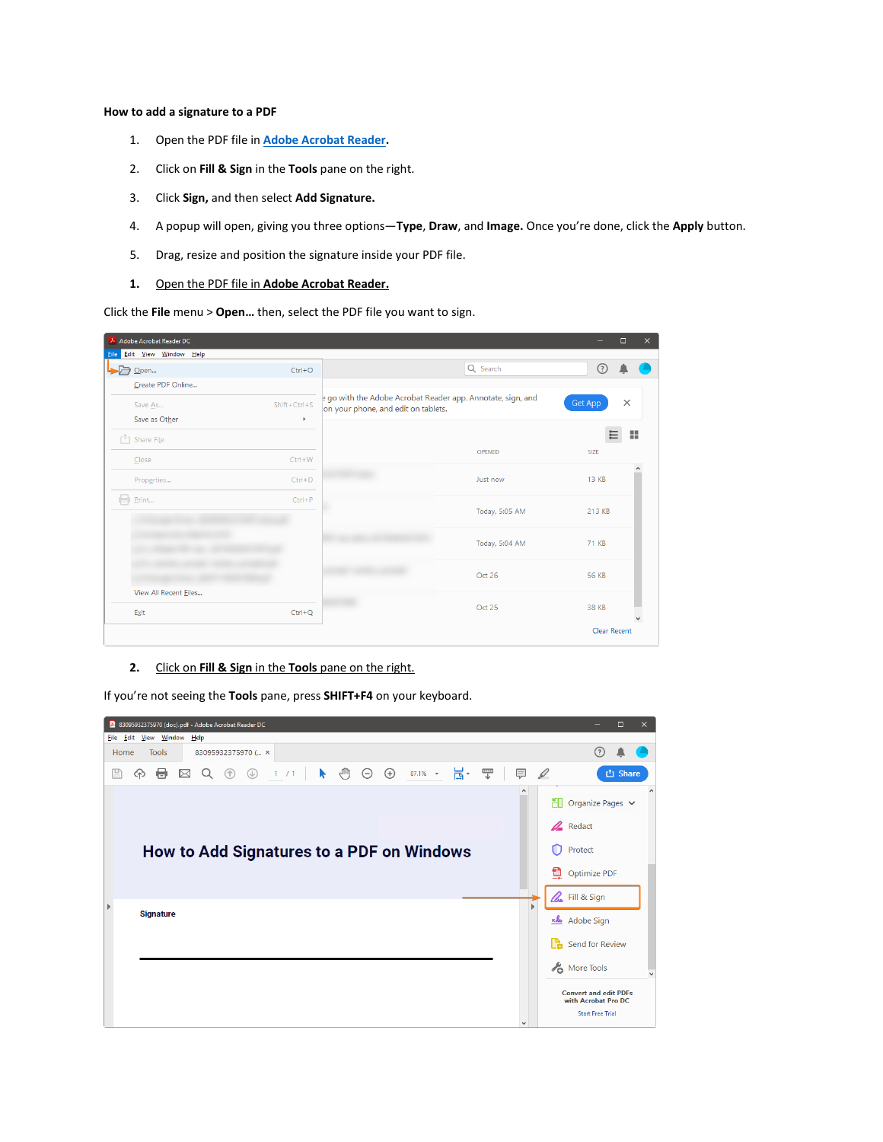## **How to add a signature to a PDF**

- 1. Open the PDF file in **[Adobe Acrobat Reader.](https://get.adobe.com/reader/)**
- 2. Click on **Fill & Sign** in the **Tools** pane on the right.
- 3. Click **Sign,** and then select **Add Signature.**
- 4. A popup will open, giving you three options—**Type**, **Draw**, and **Image.** Once you're done, click the **Apply** button.
- 5. Drag, resize and position the signature inside your PDF file.
- **1.** Open the PDF file in **Adobe Acrobat Reader.**

Click the **File** menu > **Open…** then, select the PDF file you want to sign.

| Adobe Acrobat Reader DC                           |                   |                                                                                                  |                     | $\Box$<br>$\times$ |
|---------------------------------------------------|-------------------|--------------------------------------------------------------------------------------------------|---------------------|--------------------|
| Edit View Window Help<br>File                     |                   |                                                                                                  |                     |                    |
| Open                                              | $Ctrl + O$        | Q Search                                                                                         | $\circled{?}$       |                    |
| Create PDF Online                                 |                   |                                                                                                  |                     |                    |
| Save As                                           | $Shift +Ctrl + S$ | go with the Adobe Acrobat Reader app. Annotate, sign, and<br>on your phone, and edit on tablets. | Get App             | $\times$           |
| Save as Other                                     | r                 |                                                                                                  |                     |                    |
| $\begin{bmatrix} 1 \\ 2 \end{bmatrix}$ Share File |                   |                                                                                                  | 日                   | ×                  |
| Close                                             | $Ctrl + W$        | OPENED                                                                                           | SIZE                | $\wedge$           |
| Properties                                        | $Ctrl + D$        | Just now                                                                                         | <b>13 KB</b>        |                    |
| Print                                             | $Ctrl + P$        | Today, 5:05 AM                                                                                   | 213 KB              |                    |
|                                                   |                   | Today, 5:04 AM                                                                                   | 71 KB               |                    |
|                                                   |                   | Oct 26                                                                                           | <b>56 KB</b>        |                    |
| View All Recent Eiles<br>Exit                     | $Ctrl + Q$        | Oct 25                                                                                           | 38 KB               |                    |
|                                                   |                   |                                                                                                  | <b>Clear Recent</b> |                    |

## **2.** Click on **Fill & Sign** in the **Tools** pane on the right.

If you're not seeing the **Tools** pane, press **SHIFT+F4** on your keyboard.

| 8 83095932375970 (doc).pdf - Adobe Acrobat Reader DC<br>Eile Edit View Window Help                            |                     | П<br>$\times$                                                                  |
|---------------------------------------------------------------------------------------------------------------|---------------------|--------------------------------------------------------------------------------|
| <b>Tools</b><br>83095932375970 ( ×<br>Home                                                                    |                     |                                                                                |
| $\bullet$ 0 0 0<br>봄<br>罡<br>1 / 1<br>⊜.<br>87.1% $\sim$<br>R<br>$\boxtimes$<br>Q<br>අ<br>n)<br>$\circledast$ | 早 夕                 | <b>the Share</b>                                                               |
|                                                                                                               | $\hat{\phantom{a}}$ | $\Box$ Organize Pages $\vee$                                                   |
|                                                                                                               |                     | Redact                                                                         |
| How to Add Signatures to a PDF on Windows                                                                     |                     | Protect<br>O                                                                   |
|                                                                                                               |                     | Optimize PDF                                                                   |
|                                                                                                               |                     | <b>Le</b> Fill & Sign                                                          |
| <b>Signature</b>                                                                                              |                     | xle Adobe Sign                                                                 |
|                                                                                                               |                     | $\mathbf{a}$ Send for Review                                                   |
|                                                                                                               |                     | More Tools                                                                     |
|                                                                                                               | $\checkmark$        | <b>Convert and edit PDFs</b><br>with Acrobat Pro DC<br><b>Start Free Trial</b> |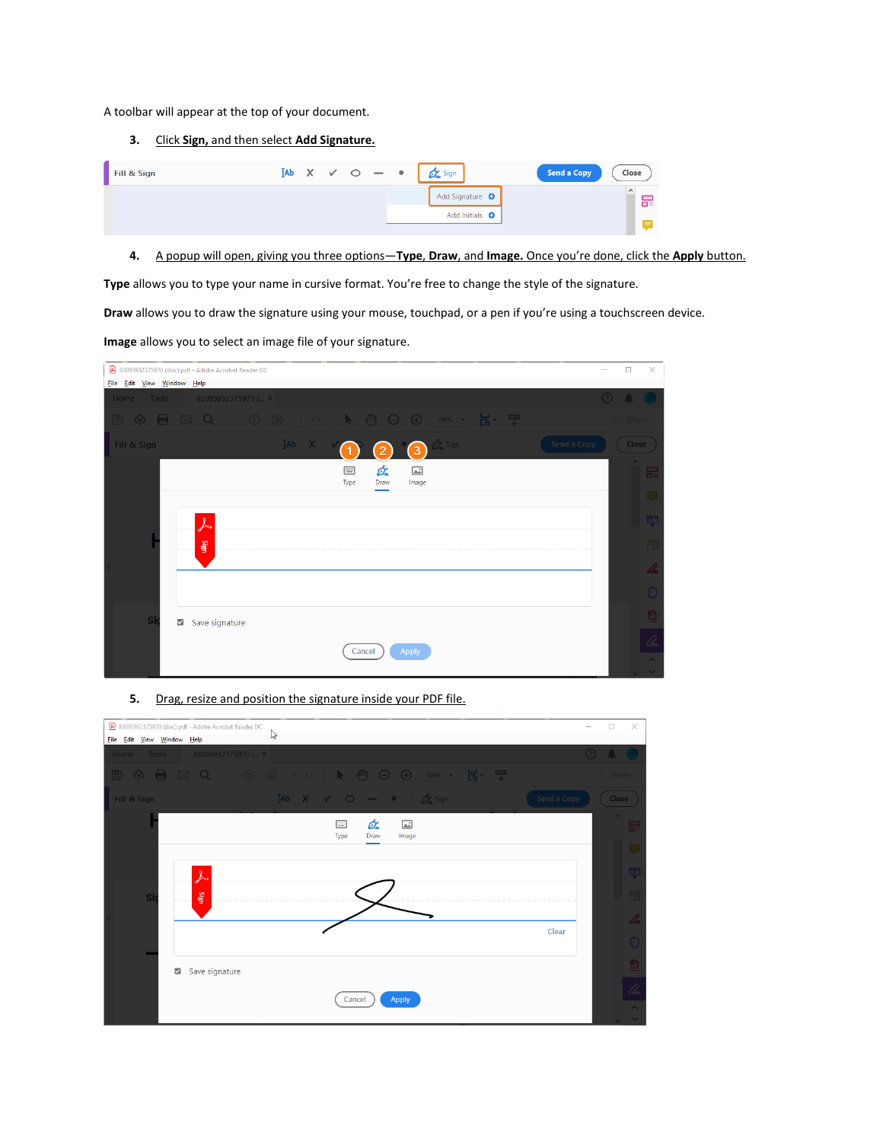A toolbar will appear at the top of your document.

## **3.** Click **Sign,** and then select **Add Signature.**

| Fill & Sign |  |  |  | $IAb \quad X \quad V \quad \bigcirc \quad - \quad \bullet \quad \bigcirc \quad \mathcal{O}_{\mathbf{m}}^{\bullet}$ Sign | Send a Copy | Close         |
|-------------|--|--|--|-------------------------------------------------------------------------------------------------------------------------|-------------|---------------|
|             |  |  |  | Add Signature O                                                                                                         |             | $\sim$<br>- 물 |
|             |  |  |  | Add Initials <b>O</b>                                                                                                   |             |               |

**4.** A popup will open, giving you three options—**Type**, **Draw**, and **Image.** Once you're done, click the **Apply** button.

**Type** allows you to type your name in cursive format. You're free to change the style of the signature.

**Draw** allows you to draw the signature using your mouse, touchpad, or a pen if you're using a touchscreen device.

**Image** allows you to select an image file of your signature.

| 83095932375970 (doc).pdf - Adobe Acrobat Reader DC<br>File Edit View Window Help                    | $\overline{\phantom{a}}$ | $\Box$       | $\times$ |
|-----------------------------------------------------------------------------------------------------|--------------------------|--------------|----------|
| <b>Tools</b><br>83095932375970 ( ×<br>Home                                                          | (2)                      |              |          |
|                                                                                                     |                          | <b>Share</b> |          |
| $IAb \times \sqrt{1}$<br>Send a Copy<br>$\mathbb{Z}_m$ Sign<br>Fill & Sign<br>$\left(3\right)$<br>0 |                          | Close        |          |
| Ó.<br>画<br>囜<br>Type<br>Draw<br>Image                                                               |                          | $\sim$       | T S      |
|                                                                                                     |                          |              |          |
| $\overline{\mathcal{F}}$                                                                            |                          |              |          |
| <b>Sign</b>                                                                                         |                          |              |          |
|                                                                                                     |                          |              | 4        |
|                                                                                                     |                          |              |          |
| Si<br>Save signature<br>☑                                                                           |                          |              |          |
| Apply<br>Cancel                                                                                     |                          |              |          |
|                                                                                                     |                          |              |          |

**5.** Drag, resize and position the signature inside your PDF file.

| 83095932375970 (doc).pdf - Adobe Acrobat Reader DC<br>File Edit View Window Help | $\mathbb{P}$                                                                          | $\Box$<br>$\times$       |
|----------------------------------------------------------------------------------|---------------------------------------------------------------------------------------|--------------------------|
| 83095932375970 ( ×<br>Tools<br>Home                                              |                                                                                       | $\odot$ $\blacksquare$   |
|                                                                                  | 图 A B 図 Q ① ① 1 /1   ▶ ① 〇 ① 10% · H · 〒                                              | <sup>t</sup> ] Share     |
| Fill & Sign                                                                      | Send a Copy<br>$[Ab \quad X \quad V \quad O \quad - \quad 0 \quad \beta^k \quad$ Sign | Close                    |
|                                                                                  | Óú.<br>画<br>囸<br>Type<br>Draw<br>Image                                                | $\sim$<br>$\overline{5}$ |
|                                                                                  |                                                                                       |                          |
| $\lambda$                                                                        |                                                                                       |                          |
| clgn<br>Si                                                                       |                                                                                       | ■ 等田 么 〇 登 么             |
|                                                                                  | Clear                                                                                 |                          |
|                                                                                  |                                                                                       |                          |
| Save signature<br>$\overline{\mathcal{L}}$                                       |                                                                                       |                          |
|                                                                                  | <b>Apply</b><br>Cancel                                                                |                          |
|                                                                                  |                                                                                       | $\mathcal{A}$<br>$\sim$  |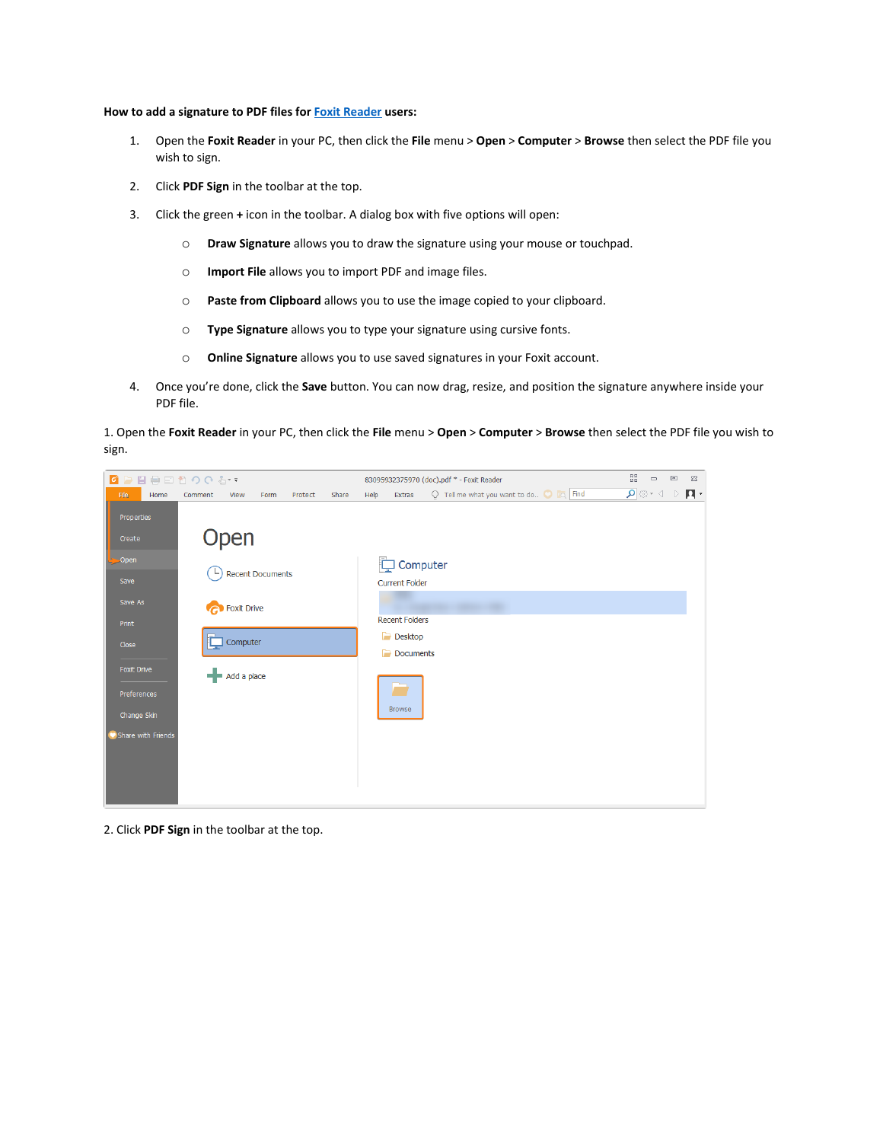## **How to add a signature to PDF files for [Foxit Reader](https://www.foxitsoftware.com/pdf-reader/) users:**

- 1. Open the **Foxit Reader** in your PC, then click the **File** menu > **Open** > **Computer** > **Browse** then select the PDF file you wish to sign.
- 2. Click **PDF Sign** in the toolbar at the top.
- 3. Click the green **+** icon in the toolbar. A dialog box with five options will open:
	- o **Draw Signature** allows you to draw the signature using your mouse or touchpad.
	- o **Import File** allows you to import PDF and image files.
	- o **Paste from Clipboard** allows you to use the image copied to your clipboard.
	- o **Type Signature** allows you to type your signature using cursive fonts.
	- o **Online Signature** allows you to use saved signatures in your Foxit account.
- 4. Once you're done, click the **Save** button. You can now drag, resize, and position the signature anywhere inside your PDF file.

1. Open the **Foxit Reader** in your PC, then click the **File** menu > **Open** > **Computer** > **Browse** then select the PDF file you wish to sign.



2. Click **PDF Sign** in the toolbar at the top.